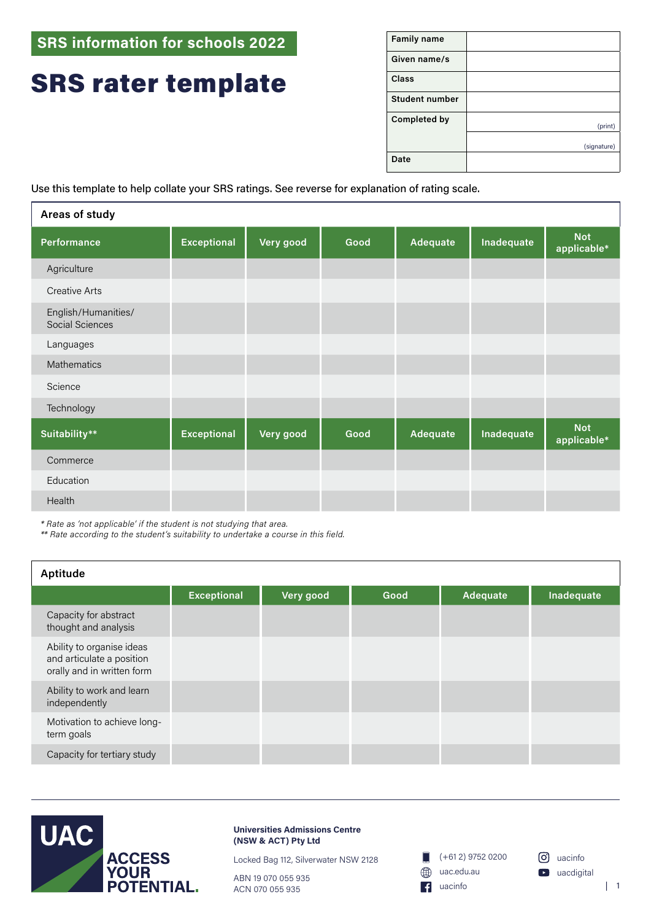**SRS information for schools 2022**

## SRS rater template

| <b>Family name</b>    |             |
|-----------------------|-------------|
| Given name/s          |             |
| <b>Class</b>          |             |
| <b>Student number</b> |             |
| Completed by          | (print)     |
|                       | (signature) |
| Date                  |             |

Use this template to help collate your SRS ratings. See reverse for explanation of rating scale.

| Areas of study                         |                    |           |      |                 |            |                           |
|----------------------------------------|--------------------|-----------|------|-----------------|------------|---------------------------|
| Performance                            | <b>Exceptional</b> | Very good | Good | <b>Adequate</b> | Inadequate | <b>Not</b><br>applicable* |
| Agriculture                            |                    |           |      |                 |            |                           |
| <b>Creative Arts</b>                   |                    |           |      |                 |            |                           |
| English/Humanities/<br>Social Sciences |                    |           |      |                 |            |                           |
| Languages                              |                    |           |      |                 |            |                           |
| <b>Mathematics</b>                     |                    |           |      |                 |            |                           |
| Science                                |                    |           |      |                 |            |                           |
| Technology                             |                    |           |      |                 |            |                           |
| Suitability**                          | <b>Exceptional</b> | Very good | Good | Adequate        | Inadequate | <b>Not</b><br>applicable* |
| Commerce                               |                    |           |      |                 |            |                           |
| Education                              |                    |           |      |                 |            |                           |
| Health                                 |                    |           |      |                 |            |                           |

*\* Rate as 'not applicable' if the student is not studying that area.*

*\*\* Rate according to the student's suitability to undertake a course in this field.*

| Aptitude                                                                             |                    |           |      |          |            |
|--------------------------------------------------------------------------------------|--------------------|-----------|------|----------|------------|
|                                                                                      | <b>Exceptional</b> | Very good | Good | Adequate | Inadequate |
| Capacity for abstract<br>thought and analysis                                        |                    |           |      |          |            |
| Ability to organise ideas<br>and articulate a position<br>orally and in written form |                    |           |      |          |            |
| Ability to work and learn<br>independently                                           |                    |           |      |          |            |
| Motivation to achieve long-<br>term goals                                            |                    |           |      |          |            |
| Capacity for tertiary study                                                          |                    |           |      |          |            |



**Universities Admissions Centre (NSW & ACT) Pty Ltd**

Locked Bag 112, Silverwater NSW 2128

ABN 19 070 055 935 ACN 070 055 935



 $\lceil \cdot \cdot \rceil$